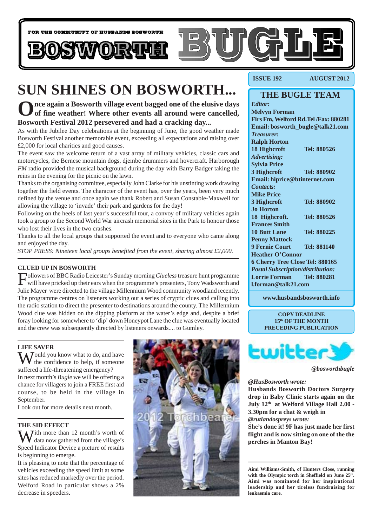

# **SUN SHINES ON BOSWORTH...**

**Once again a Bosworth village event bagged one of the elusive days of fine weather! Where other events all around were cancelled, Bosworth Festival 2012 persevered and had a cracking day...**

As with the Jubilee Day celebrations at the beginning of June, the good weather made Bosworth Festival another memorable event, exceeding all expectations and raising over £2,000 for local charities and good causes.

The event saw the welcome return of a vast array of military vehicles, classic cars and motorcycles, the Bernese mountain dogs, djembe drummers and hovercraft. Harborough *FM* radio provided the musical background during the day with Barry Badger taking the reins in the evening for the picnic on the lawn.

Thanks to the organising committee, especially John Clarke for his unstinting work drawing together the field events. The character of the event has, over the years, been very much defined by the venue and once again we thank Robert and Susan Constable-Maxwell for allowing the village to 'invade' their park and gardens for the day!

Following on the heels of last year's successful tour, a convoy of military vehicles again took a group to the Second World War aircrash memorial sites in the Park to honour those who lost their lives in the two crashes.

Thanks to all the local groups that supported the event and to everyone who came along and enjoyed the day.

*STOP PRESS: Nineteen local groups benefited from the event, sharing almost £2,000.*

#### **CLUED UP IN BOSWORTH**

Followers of BBC Radio Leicester's Sunday morning *Clueless* treasure hunt programme will have pricked up their ears when the programme's presenters, Tony Wadsworth and Julie Mayer were directed to the village Millennium Wood community woodland recently. The programme centres on listeners working out a series of cryptic clues and calling into the radio station to direct the presenter to destinations around the county. The Millennium Wood clue was hidden on the dipping platform at the water's edge and, despite a brief foray looking for somewhere to 'dip' down Honeypot Lane the clue was eventually located and the crew was subsequently directed by listeners onwards.... to Gumley.

#### **LIFE SAVER**

 $\sum_{i=1}^{\infty}$  ould you know what to do, and have the confidence to help, if someone suffered a life-threatening emergency? In next month's *Bugle* we will be offering a chance for villagers to join a FREE first aid course, to be held in the village in September.

Look out for more details next month.

#### **THE SID EFFECT**

 $\sum$  *T*ith more than 12 month's worth of data now gathered from the village's Speed Indicator Device a picture of results is beginning to emerge.

It is pleasing to note that the percentage of vehicles exceeding the speed limit at some sites has reduced markedly over the period. Welford Road in particular shows a 2% decrease in speeders.



**ISSUE 192 AUGUST 2012**

### **THE BUGLE TEAM**

*Editor:* **Melvyn Forman Firs Fm, Welford Rd.Tel /Fax: 880281 Email: bosworth\_bugle@talk21.com** *Treasurer:* **Ralph Horton 18 Highcroft Tel: 880526** *Advertising:* **Sylvia Price 3 Highcroft Tel: 880902 Email: hiprice@btinternet.com** *Contacts:* **Mike Price 3 Highcroft Tel: 880902 Jo Horton 18 Highcroft. Tel: 880526 Frances Smith 10 Butt Lane Tel: 880225 Penny Mattock 9 Fernie Court Tel: 881140 Heather O'Connor 6 Cherry Tree Close Tel: 880165** *Postal Subscription/distribution:* **Lorrie Forman Tel: 880281 l.forman@talk21.com**

**www.husbandsbosworth.info**

**COPY DEADLINE 15th OF THE MONTH PRECEDING PUBLICATION**



*@bosworthbugle*

#### *@HusBosworth wrote:*

**Husbands Bosworth Doctors Surgery drop in Baby Clinic starts again on the July 12th at Welford Village Hall 2.00 - 3.30pm for a chat & weigh in** *@rutlandospreys wrote:*

**She's done it! 9F has just made her first flight and is now sitting on one of the the perches in Manton Bay!**

**Aimi Williams-Smith, of Hunters Close, running** with the Olympic torch in Sheffield on June 25<sup>th</sup>. **Aimi was nominated for her inspirational leadership and her tireless fundraising for leukaemia care.**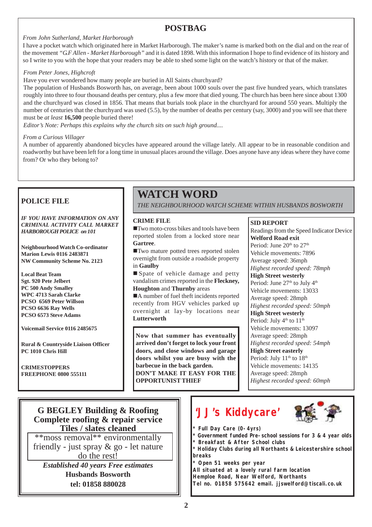# **POSTBAG**

### *From John Sutherland, Market Harborough*

I have a pocket watch which originated here in Market Harborough. The maker's name is marked both on the dial and on the rear of the movement *"G.F Allen - Market Harborough"* and it is dated 1898. With this information I hope to find evidence of its history and so I write to you with the hope that your readers may be able to shed some light on the watch's history or that of the maker.

#### *From Peter Jones, Highcroft*

Have you ever wondered how many people are buried in All Saints churchyard?

The population of Husbands Bosworth has, on average, been about 1000 souls over the past five hundred years, which translates roughly into three to four thousand deaths per century, plus a few more that died young. The church has been here since about 1300 and the churchyard was closed in 1856. That means that burials took place in the churchyard for around 550 years. Multiply the number of centuries that the churchyard was used (5.5), by the number of deaths per century (say, 3000) and you will see that there must be *at least* **16,500** people buried there!

*Editor's Note: Perhaps this explains why the church sits on such high ground....*

#### *From a Curious Villager*

A number of apparently abandoned bicycles have appeared around the village lately. All appear to be in reasonable condition and roadworthy but have been left for a long time in unusual places around the village. Does anyone have any ideas where they have come from? Or who they belong to?

### **POLICE FILE**

*IF YOU HAVE INFORMATION ON ANY CRIMINAL ACTIVITY CALL MARKET HARBOROUGH POLICE on 101*

**Neighbourhood Watch Co-ordinator Marion Lewis 0116 2483871 NW Community Scheme No. 2123**

**Local Beat Team Sgt. 920 Pete Jelbert PC 500 Andy Smalley WPC 4713 Sarah Clarke PCSO 6569 Peter Willson PCSO 6636 Ray Wells PCSO 6573 Steve Adams**

**Voicemail Service 0116 2485675**

**Rural & Countryside Liaison Officer PC 1010 Chris Hill**

**CRIMESTOPPERS FREEPHONE 0800 555111**

# **WATCH WORD**

*THE NEIGHBOURHOOD WATCH SCHEME WITHIN HUSBANDS BOSWORTH*

#### **CRIME FILE**

**Two moto-cross bikes and tools have been** reported stolen from a locked store near **Gartree**.

■Two mature potted trees reported stolen overnight from outside a roadside property in **Gaulby**

Spate of vehicle damage and petty vandalism crimes reported in the **Fleckney, Houghton** and **Thurnby** areas

■A number of fuel theft incidents reported recently from HGV vehicles parked up overnight at lay-by locations near **Lutterworth**

**Now that summer has eventually arrived don't forget to lock your front doors, and close windows and garage doors whilst you are busy with the barbecue in the back garden. DON'T MAKE IT EASY FOR THE OPPORTUNIST THIEF**

#### **SID REPORT**

Readings from the Speed Indicator Device **Welford Road exit** Period: June 20<sup>th</sup> to 27<sup>th</sup> Vehicle movements: 7896 Average speed: 36mph *Highest recorded speed: 78mph* **High Street westerly** Period: June 27<sup>th</sup> to July 4<sup>th</sup> Vehicle movements: 13033 Average speed: 28mph *Highest recorded speed: 50mph* **High Street westerly** Period: July  $4<sup>th</sup>$  to  $11<sup>th</sup>$ Vehicle movements: 13097 Average speed: 28mph *Highest recorded speed: 54mph* **High Street easterly** Period: July 11<sup>th</sup> to 18<sup>th</sup> Vehicle movements: 14135 Average speed: 28mph *Highest recorded speed: 60mph*

### **G BEGLEY Building & Roofing Complete roofing & repair service Tiles / slates cleaned**

\*\*moss removal\*\* environmentally friendly - just spray & go - let nature do the rest!

*Established 40 years Free estimates* **Husbands Bosworth tel: 01858 880028**

# **'JJ's Kiddycare'**



- **\* Full Day Care (0-4yrs)**
- **\* Government funded Pre-school sessions for 3 & 4 year olds**
- **\* Breakfast & After School clubs**
- **\* Holiday Clubs during all Northants & Leicestershire school breaks**
- **\* Open 51 weeks per year**

**All situated at a lovely rural farm location Hemploe Road, Near Welford, Northants Tel no. 01858 575642 email. jjswelford@tiscali.co.uk**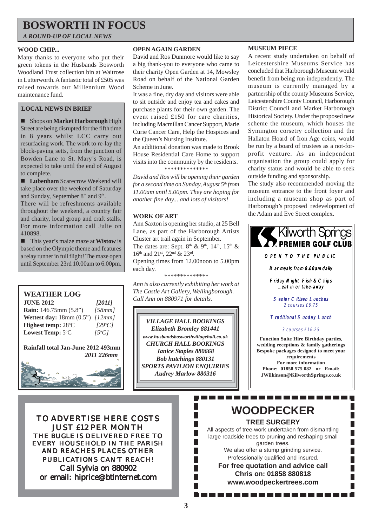# **BOSWORTH IN FOCUS**

*A ROUND-UP OF LOCAL NEWS*

#### **WOOD CHIP...**

Many thanks to everyone who put their green tokens in the Husbands Bosworth Woodland Trust collection bin at Waitrose in Lutterworth. A fantastic total of £505 was raised towards our Millennium Wood maintenance fund.

### **LOCAL NEWS IN BRIEF**

! Shops on **Market Harborough** High Street are being disrupted for the fifth time in 8 years whilst LCC carry out resurfacing work. The work to re-lay the block-paving setts, from the junction of Bowden Lane to St. Mary's Road, is expected to take until the end of August to complete.

■ **Lubenham** Scarecrow Weekend will take place over the weekend of Saturday and Sunday, September 8<sup>th</sup> and 9<sup>th</sup>.

There will be refreshments available throughout the weekend, a country fair and charity, local group and craft stalls. For more information call Julie on 410898.

! This year's maize maze at **Wistow** is based on the Olympic theme and features a relay runner in full flight! The maze open until September 23rd 10.00am to 6.00pm.

### **WEATHER LOG**

**JUNE 2012** *[2011]* **Rain:** 146.75mm (5.8") *[58mm]* **Wettest day:** 18mm (0.5") *[12mm]* **Highest temp:** 28°C C *[29o C]* Lowest Temp: 5°C C *[5o C]*

**Rainfall total Jan-June 2012 493mm**  *2011 226mm*



TO ADVERTISE HERE COSTS JUST £12 PER MONTH THE *BUGLE* IS DELIVERED FREE TO EVERY HOUSEHOLD IN THE PARISH AND REACHES PLACES OTHER PUBLICATIONS CAN'T REACH! Call Sylvia on 880902 or email: hiprice@btinternet.com

#### **OPEN AGAIN GARDEN**

David and Ros Dunmore would like to say a big thank-you to everyone who came to their charity Open Garden at 14, Mowsley Road on behalf of the National Garden Scheme in June.

It was a fine, dry day and visitors were able to sit outside and enjoy tea and cakes and purchase plants for their own garden. The event raised £150 for care charities, including Macmillan Cancer Support, Marie Curie Cancer Care, Help the Hospices and the Queen's Nursing Institute.

An additional donation was made to Brook House Residential Care Home to support visits into the community by the residents. *\*\*\*\*\*\*\*\*\*\*\*\*\*\**

*David and Ros will be opening their garden for a second time on Sunday, August 5th from*

*11.00am until 5.00pm. They are hoping for another fine day... and lots of visitors!*

#### **WORK OF ART**

Ann Saxton is opening her studio, at 25 Bell Lane, as part of the Harborough Artists Cluster art trail again in September. The dates are: Sept.  $8<sup>th</sup>$  &  $9<sup>th</sup>$ ,  $14<sup>th</sup>$ ,  $15<sup>th</sup>$  & 16<sup>th</sup> and 21<sup>st</sup>, 22<sup>nd</sup> & 23<sup>rd</sup>.

Opening times from 12.00noon to 5.00pm each day.

*\*\*\*\*\*\*\*\*\*\*\*\*\*\**

*Ann is also currently exhibiting her work at The Castle Art Gallery, Wellingborough. Call Ann on 880971 for details.*

*VILLAGE HALL BOOKINGS Elizabeth Bromley 881441 www.husbandsbosworthvillagehall.co.uk CHURCH HALL BOOKINGS Janice Staples 880668 Bob hutchings 880131 SPORTS PAVILION ENQUIRIES Audrey Marlow 880316*

#### **MUSEUM PIECE**

A recent study undertaken on behalf of Leicestershire Museums Service has concluded that Harborough Museum would benefit from being run independently. The museum is currently managed by a partnership of the county Museums Service, Leicestershire County Council, Harborough District Council and Market Harborough Historical Society. Under the proposed new scheme the museum, which houses the Symington corsetry collection and the Hallaton Hoard of Iron Age coins, would be run by a board of trustees as a not-forprofit venture. As an independent organisation the group could apply for charity status and would be able to seek outside funding and sponsorship.

The study also recommended moving the museum entrance to the front foyer and including a museum shop as part of Harborough's proposed redevelopment of the Adam and Eve Street complex.



. . . . . . . . . .

 $\mathbb{R}^2$  $\overline{\phantom{a}}$ 

All aspects of tree-work undertaken from dismantling large roadside trees to pruning and reshaping small garden trees.

We also offer a stump grinding service. Professionally qualified and insured.

**For free quotation and advice call Chris on: 01858 880818 www.woodpeckertrees.com**

**3**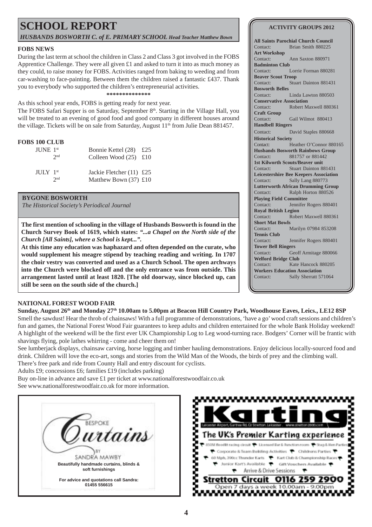# **SCHOOL REPORT**

*HUSBANDS BOSWORTH C. of E. PRIMARY SCHOOL Head Teacher Matthew Bown*

#### **FOBS NEWS**

During the last term at school the children in Class 2 and Class 3 got involved in the FOBS Apprentice Challenge. They were all given £1 and asked to turn it into as much money as they could, to raise money for FOBS. Activities ranged from baking to weeding and from car-washing to face-painting. Between them the children raised a fantastic £437. Thank you to everybody who supported the children's entrepreneurial activities. **\*\*\*\*\*\*\*\*\*\*\*\*\*\***

As this school year ends, FOBS is getting ready for next year.

The FOBS Safari Supper is on Saturday, September 8th. Starting in the Village Hall, you will be treated to an evening of good food and good company in different houses around the village. Tickets will be on sale from Saturday, August  $11<sup>th</sup>$  from Julie Dean 881457.

#### **FOBS 100 CLUB**

| $JUNE$ 1 <sup>st</sup>           | 2 <sub>nd</sub> | Bonnie Kettel $(28)$ £25<br>Colleen Wood $(25)$ £10   |  |
|----------------------------------|-----------------|-------------------------------------------------------|--|
| $\text{H} \text{H} \text{N}$ 1st | 2nd             | Jackie Fletcher $(11)$ £25<br>Matthew Bown $(37)$ £10 |  |

#### **BYGONE BOSWORTH**

*The Historical Society's Periodical Journal*

**The first mention of schooling in the village of Husbands Bosworth is found in the Church Survey Book of 1619, which states:** *"...a Chapel on the North side of the Church [All Saints], where a School is kept...".*

**At this time any education was haphazard and often depended on the curate, who would supplement his meagre stipend by teaching reading and writing. In 1707 the choir vestry was converted and used as a Church School. The open archways into the Church were blocked off and the only entrance was from outside. This arrangement lasted until at least 1820. [The old doorway, since blocked up, can still be seen on the south side of the church.]**

#### **NATIONAL FOREST WOOD FAIR**

**Sunday, August 26th and Monday 27th 10.00am to 5.00pm at Beacon Hill Country Park, Woodhouse Eaves, Leics., LE12 8SP**

Smell the sawdust! Hear the throb of chainsaws! With a full programme of demonstrations, 'have a go' wood craft sessions and children's fun and games, the National Forest Wood Fair guarantees to keep adults and children entertained for the whole Bank Holiday weekend! A highlight of the weekend will be the first ever UK Championship Log to Leg wood-turning race. Bodgers' Corner will be frantic with shavings flying, pole lathes whirring - come and cheer them on!

See lumberjack displays, chainsaw carving, horse logging and timber hauling demonstrations. Enjoy delicious locally-sourced food and drink. Children will love the eco-art, songs and stories from the Wild Man of the Woods, the birds of prey and the climbing wall. There's free park and ride from County Hall and entry discount for cyclists.

Adults £9; concessions £6; families £19 (includes parking)

Buy on-line in advance and save £1 per ticket at www.nationalforestwoodfair.co.uk See www.nationalforestwoodfair.co.uk for more information.





#### **ACTIVITY GROUPS 2012**

**All Saints Parochial Church Council** Contact: Brian Smith 880225 **Art Workshop** Contact: Ann Saxton 880971 **Badminton Club** Contact: Lorrie Forman 880281 **Beaver Scout Troop** Contact: Stuart Dainton 881431 **Bosworth Belles** Contact: Linda Lawton 880503 **Conservative Association** Contact: Robert Maxwell 880361 **Craft Group** Contact: Gail Wilmot 880413 **Handbell Ringers** Contact: David Staples 880668 **Historical Society** Contact: Heather O'Connor 880165 **Husbands Bosworth Rainbows Group** Contact: 881757 or 881442 **1st Kilworth Scouts/Beaver unit** Contact: Stuart Dainton 881431 **Leicestershire Bee Keepers Association** Contact: Sally Lang 880773 **Lutterworth African Drumming Group** Contact: Ralph Horton 880526 **Playing Field Committee** Contact: Jennifer Rogers 880401 **Royal British Legion** Contact: Robert Maxwell 880361 **Short Mat Bowls** Contact: Marilyn 07984 853208 **Tennis Club** Contact: Jennifer Rogers 880401 **Tower Bell Ringers** Contact: Geoff Armitage 880066 **Welford Bridge Club** Contact: Kate Hancock 880205 **Workers Education Association** Contact: Sally Sherratt 571064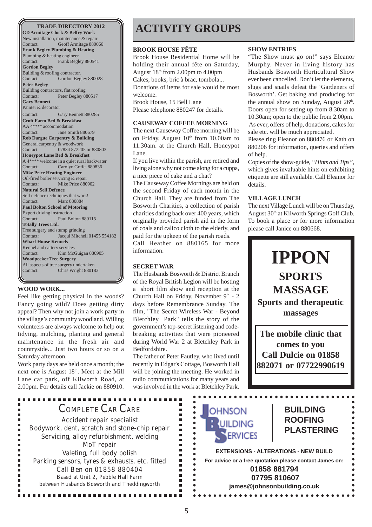**GD Armitage Clock & Belfry Work** New installation, maintenance & repair Contact: Geoff Armitage 880066 **Frank Begley Plumbing & Heating** Plumbing & heating engineer. Contact: Frank Begley 880541 **Gordon Begley** Building & roofing contractor. Contact: Gordon Begley 880028 **Peter Begley** Building contractors, flat roofing Contact: Peter Begley 880517 **Gary Bennett** Painter & decorator Contact: Gary Bennett 880285 **Croft Farm Bed & Breakfast** AA 4\*\*\*\* accommodation<br>Contact: Jane Sm Jane Smith 880679 **Rob Dargue Carpentry & Building** General carpentry & woodwork Contact: 07834 872205 or 880803 **Honeypot Lane Bed & Breakfast** A 4\*\*\*\* welcome in a quiet rural backwater Contact: Carolyn Goffe 880836 **Mike Price Heating Engineer** Oil-fired boiler servicing & repair Contact: Mike Price 880902 **Natural Self Defence** Self defence techniques that work! Contact: Marc 880884 **Paul Bolton School of Motoring** Expert driving instruction Contact: Paul Bolton 880115 **Totally Trees Ltd.** Tree surgery and stump grinding Contact: Jacqui Mitchell 01455 554182 **Wharf House Kennels** Kennel and cattery services Contact: Kim McGuigan 880905 **Woodpecker Tree Surgery** All aspects of tree surgery undertaken Contact: Chris Wright 880183

#### **WOOD WORK...**

Feel like getting physical in the woods? Fancy going wild? Does getting dirty appeal? Then why not join a work party in the village's community woodland. Willing volunteers are always welcome to help out tidying, mulching, planting and general maintenance in the fresh air and countryside... Just two hours or so on a Saturday afternoon.

Work party days are held once a month; the next one is August 18<sup>th</sup>. Meet at the Mill Lane car park, off Kilworth Road, at 2.00pm. For details call Jackie on 880910.

# **TRADE DIRECTORY 2012 ACTIVITY GROUPS**

#### **BROOK HOUSE FÊTE**

Brook House Residential Home will be holding their annual fête on Saturday, August 18th from 2.00pm to 4.00pm Cakes, books, bric à brac, tombola... Donations of items for sale would be most welcome. Brook House, 15 Bell Lane

Please telephone 880247 for details.

#### **CAUSEWAY COFFEE MORNING**

The next Causeway Coffee morning will be on Friday, August  $10<sup>th</sup>$  from 10.00am to 11.30am. at the Church Hall, Honeypot Lane.

If you live within the parish, are retired and living alone why not come along for a cuppa, a nice piece of cake and a chat?

The Causeway Coffee Mornings are held on the second Friday of each month in the Church Hall. They are funded from The Bosworth Charities, a collection of parish charities dating back over 400 years, which originally provided parish aid in the form of coals and calico cloth to the elderly, and paid for the upkeep of the parish roads.

Call Heather on 880165 for more information.

### **SECRET WAR**

The Husbands Bosworth & District Branch of the Royal British Legion will be hosting a short film show and reception at the Church Hall on Friday, November  $9<sup>th</sup>$  - 2 days before Remembrance Sunday. The film, "The Secret Wireless War - Beyond Bletchley Park" tells the story of the government's top-secret listening and codebreaking activities that were pioneered during World War 2 at Bletchley Park in Bedfordshire.

The father of Peter Fautley, who lived until recently in Edgar's Cottage, Bosworth Hall will be joining the meeting. He worked in radio communications for many years and was involved in the work at Bletchley Park.

> $\blacksquare$  $\blacksquare$

> $\blacksquare$

 $\blacksquare$ 

 $\blacksquare$ 

 $\blacksquare$ 

 $\blacksquare$  $\blacksquare$   $\bullet$  $\bullet$ 

 $\bullet$  $\bullet$  $\bullet$ 

 $\bullet$  $\bullet$ 

 $\bullet$  $\bullet$  $\bullet$  $\ddot{\phantom{a}}$ 

 $\bullet$ 

 $\bullet$ 

 $\bullet$ 

#### **SHOW ENTRIES**

"The Show must go on!" says Eleanor Murphy. Never in living history has Husbands Bosworth Horticultural Show ever been cancelled. Don't let the elements, slugs and snails defeat the 'Gardeners of Bosworth'. Get baking and producing for the annual show on Sunday, August  $26<sup>th</sup>$ . Doors open for setting up from 8.30am to 10.30am; open to the public from 2.00pm. As ever, offers of help, donations, cakes for sale etc. will be much appreciated.

Please ring Eleanor on 880476 or Kath on 880206 for information, queries and offers of help.

Copies of the show-guide, *"Hints and Tips"*, which gives invaluable hints on exhibiting etiquette are still available. Call Eleanor for details.

#### **VILLAGE LUNCH**

The next Village Lunch will be on Thursday, August 30<sup>th</sup> at Kilworth Springs Golf Club. To book a place or for more information please call Janice on 880668.



**882071 or 07722990619**

COMPLETE CAR CARE Accident repair specialist Bodywork, dent, scratch and stone-chip repair Servicing, alloy refurbishment, welding MoT repair Valeting, full body polish Parking sensors, tyres & exhausts, etc. fitted Call Ben on 01858 880404 Based at Unit 2, Pebble Hall Farm between Husbands Bosworth and Theddingworth

. . . . . . . . . . .

...............

# **OHNSON UILDING ERVICES**

### **BUILDING ROOFING PLASTERING**

**EXTENSIONS - ALTERATIONS - NEW BUILD For advice or a free quotation please contact James on: 01858 881794 07795 810607 james@johnsonbuilding.co.uk**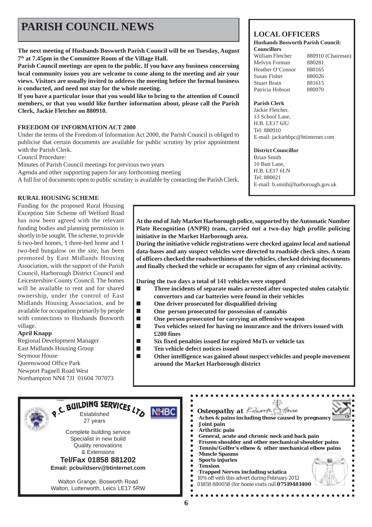# **PARISH COUNCIL NEWS**

**The next meeting of Husbands Bosworth Parish Council will be on Tuesday, August 7th at 7.45pm in the Committee Room of the Village Hall.**

**Parish Council meetings are open to the public. If you have any business concerning local community issues you are welcome to come along to the meeting and air your views. Visitors are usually invited to address the meeting before the formal business is conducted, and need not stay for the whole meeting.**

**If you have a particular issue that you would like to bring to the attention of Council members, or that you would like further information about, please call the Parish Clerk, Jackie Fletcher on 880910.**

#### **FREEDOM OF INFORMATION ACT 2000**

Under the terms of the Freedom of Information Act 2000, the Parish Council is obliged to publicise that certain documents are available for public scrutiny by prior appointment with the Parish Clerk.

Council Procedure:

Minutes of Parish Council meetings for previous two years

Agenda and other supporting papers for any forthcoming meeting

A full list of documents open to public scrutiny is available by contacting the Parish Clerk.

#### **RURAL HOUSING SCHEME**

Funding for the proposed Rural Housing Exception Site Scheme off Welford Road has now been agreed with the relevant funding bodies and planning permission is shortly to be sought. The scheme, to provide 6 two-bed homes, 1 three-bed home and 1 two-bed bungalow on the site, has been promoted by East Midlands Housing Association, with the support of the Parish Council, Harborough District Council and Leicestershire County Council. The homes will be available to rent and for shared ownership, under the control of East Midlands Housing Association, and be available for occupation primarily by people with connections to Husbands Bosworth village.

#### **April Knapp**

Regional Development Manager East Midlands Housing Group Seymour House Queenswood Office Park Newport Pagnell Road West Northampton NN4 7JJ 01604 707073

#### **At the end of July Market Harborough police, supported by the Automatic Number Plate Recognition (ANPR) team, carried out a two-day high profile policing initiative in the Market Harborough area.**

**During the initiative vehicle registrations were checked against local and national data-bases and any suspect vehicles were directed to roadside check sites. A team of officers checked the roadworthiness of the vehicles, checked driving documents and finally checked the vehicle or occupants for signs of any criminal activity.**

**During the two days a total of 141 vehicles were stopped**

- ! **Three incidents of separate males arrested after suspected stolen catalytic convertors and car batteries were found in their vehicles**
- ! **One driver prosecuted for disqualified driving**
- One person prosecuted for possession of cannabis<br>■ One person prosecuted for carrying an offensive w
- 
- **● One person prosecuted for carrying an offensive weapon**<br>■ Two vehicles seized for having no insurance and the drive ! **Two vehicles seized for having no insurance and the drivers issued with £200 fines**
- ! **Six fixed penalties issued for expired MoTs or vehicle tax**
- $\blacksquare$  **Ten vehicle defect notices issued**
- ! **Other intelligence was gained about suspect vehicles and people movement around the Market Harborough district**

| O.C. BUILDING SERVICES<br>Established<br>27 years<br>Complete building service<br>Specialist in new build<br>Quality renovations<br>& Extensions<br>Tel/Fax 01858 881202<br>Email: pcbuildserv@btinternet.com<br>Walton Grange, Bosworth Road<br>Walton, Lutterworth, Leics LE17 5RW | Osteopathy at Kilworth Offorse<br>Aches & pains including those caused by pregnancy<br>Joint pain<br>Arthritic pain<br>General, acute and chronic neck and back pain<br>Frozen shoulder and other mechanical shoulder pains<br>Tennis/Golfer's elbow & other mechanical elbow pains<br>Muscle Spasms<br>Sports injuries<br><b>Tension</b><br>Trapped Nerves including sciatica<br>10% off with this advert during February 2012<br>01858 880058 (for home visits call 07519481400) |
|--------------------------------------------------------------------------------------------------------------------------------------------------------------------------------------------------------------------------------------------------------------------------------------|------------------------------------------------------------------------------------------------------------------------------------------------------------------------------------------------------------------------------------------------------------------------------------------------------------------------------------------------------------------------------------------------------------------------------------------------------------------------------------|
|--------------------------------------------------------------------------------------------------------------------------------------------------------------------------------------------------------------------------------------------------------------------------------------|------------------------------------------------------------------------------------------------------------------------------------------------------------------------------------------------------------------------------------------------------------------------------------------------------------------------------------------------------------------------------------------------------------------------------------------------------------------------------------|

# **LOCAL OFFICERS**

#### **Husbands Bosworth Parish Council: Councillors**

William Fletcher 880910 (Chairman) Melvyn Forman 880281 Heather O'Connor 880165 Susan Fisher 880026 Stuart Brain 881615 Patricia Hobson 880070

#### **Parish Clerk**

Jackie Fletcher, 13 School Lane, H.B. LE17 6JU Tel: 880910 E-mail: jackiehbpc@btinternet.com

#### **District Councillor**

Brian Smith 10 Butt Lane, H.B. LE17 6LN Tel: 880021 E-mail: b.smith@harborough.gov.uk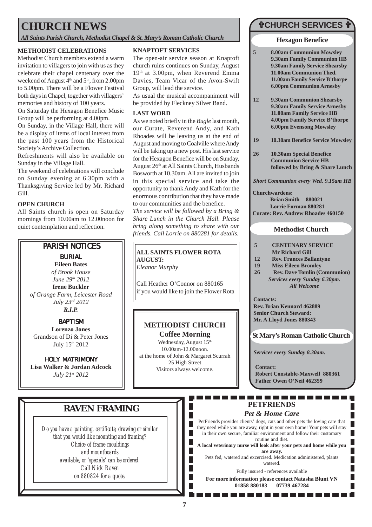# **CHURCH NEWS**

*All Saints Parish Church, Methodist Chapel & St. Mary's Roman Catholic Church*

#### **METHODIST CELEBRATIONS**

Methodist Church members extend a warm invitation to villagers to join with us as they celebrate their chapel centenary over the weekend of August  $4<sup>th</sup>$  and  $5<sup>th</sup>$ , from 2.00pm to 5.00pm. There will be a Flower Festival both days in Chapel, together with villagers' memories and history of 100 years.

On Saturday the Hexagon Benefice Music Group will be performing at 4.00pm.

On Sunday, in the Village Hall, there will be a display of items of local interest from the past 100 years from the Historical Society's Archive Collection.

Refreshments will also be available on Sunday in the Village Hall.

The weekend of celebrations will conclude on Sunday evening at 6.30pm with a Thanksgiving Service led by Mr. Richard Gill.

#### **OPEN CHURCH**

All Saints church is open on Saturday mornings from 10.00am to 12.00noon for quiet contemplation and reflection.

### PARISH NOTICES

*BURIAL* **Eileen Bates** *of Brook House June 29th 2012* **Irene Buckler** *of Grange Farm, Leicester Road July 23rd 2012 R.I.P.*

#### *BAPTISM* **Lorenzo Jones**

Grandson of Di & Peter Jones July 15th 2012

*HOLY MATRIMONY* **Lisa Walker & Jordan Adcock** *July 21st 2012*

#### **KNAPTOFT SERVICES**

The open-air service season at Knaptoft church ruins continues on Sunday, August 19<sup>th</sup> at 3.00pm, when Reverend Emma Davies, Team Vicar of the Avon-Swift Group, will lead the service.

As usual the musical accompaniment will be provided by Fleckney Silver Band.

#### **LAST WORD**

As we noted briefly in the *Bugle* last month, our Curate, Reverend Andy, and Kath Rhoades will be leaving us at the end of August and moving to Coalville where Andy will be taking up a new post. His last service for the Hexagon Benefice will be on Sunday, August 26th at All Saints Church, Husbands Bosworth at 10.30am. All are invited to join in this special service and take the opportunity to thank Andy and Kath for the enormous contribution that they have made to our communities and the benefice.

*The service will be followed by a Bring & Share Lunch in the Church Hall. Please bring along something to share with our friends. Call Lorrie on 880281 for details.*

### **ALL SAINTS FLOWER ROTA AUGUST:**

*Eleanor Murphy*

Call Heather O'Connor on 880165 if you would like to join the Flower Rota

### **METHODIST CHURCH**

**Coffee Morning** Wednesday, August 15<sup>th</sup> 10.00am-12.00noon. at the home of John & Margaret Scurrah 25 High Street Visitors always welcome.

# #**CHURCH SERVICES** #

#### **Hexagon Benefice**

- **5 8.00am Communion Mowsley 9.30am Family Communion HB 9.30am Family Service Shearsby 11.00am Communion Thed. 11.00am Family Service B'thorpe 6.00pm Communion Arnesby**
- **12 9.30am Communion Shearsby 9.30am Family Service Arnesby 11.00am Family Service HB 4.00pm Family Service B'thorpe 6.00pm Evensong Mowsley**
- **19 10.30am Benefice Service Mowsley**
- **26 10.30am Special Benefice Communion Service HB followed by Bring & Share Lunch**

*Short Communion every Wed. 9.15am HB*

#### **Churchwardens:**

**Brian Smith 880021 Lorrie Forman 880281 Curate: Rev. Andrew Rhoades 460150**

### **Methodist Church**

- **5 CENTENARY SERVICE Mr Richard Gill**
- **12 Rev. Frances Ballantyne**
- **19 Miss Eileen Bromley**
- **26 Rev. Dave Tomlin (Communion)** *Services every Sunday 6.30pm. All Welcome*

**Contacts:**

**Rev. Brian Kennard 462889 Senior Church Steward: Mr. A Lloyd Jones 880343**

**St Mary's Roman Catholic Church**

*Services every Sunday 8.30am.*

**Contact: Robert Constable-Maxwell 880361 Father Owen O'Neil 462359**

П

#### . . . . . . . . . . . -----**PETFRIENDS**

#### *Pet & Home Care*

PetFriends provides clients' dogs, cats and other pets the loving care that they need while you are away, right in your own home! Your pets will stay in their own secure, familiar environment and follow their customary routine and diet.

**A local veterinary nurse will look after your pets and home while you are away.**

Pets fed, watered and excercised. Medication administered, plants watered.

Fully insured - references available

**For more information please contact Natasha Blunt VN 01858 880183 07739 467284**

### **RAVEN FRAMING**

*Do you have a painting, certificate, drawing or similar that you would like mounting and framing? Choice of frame mouldings and mountboards available, or 'specials' can be ordered. Call Nick Raven on 880824 for a quote.*